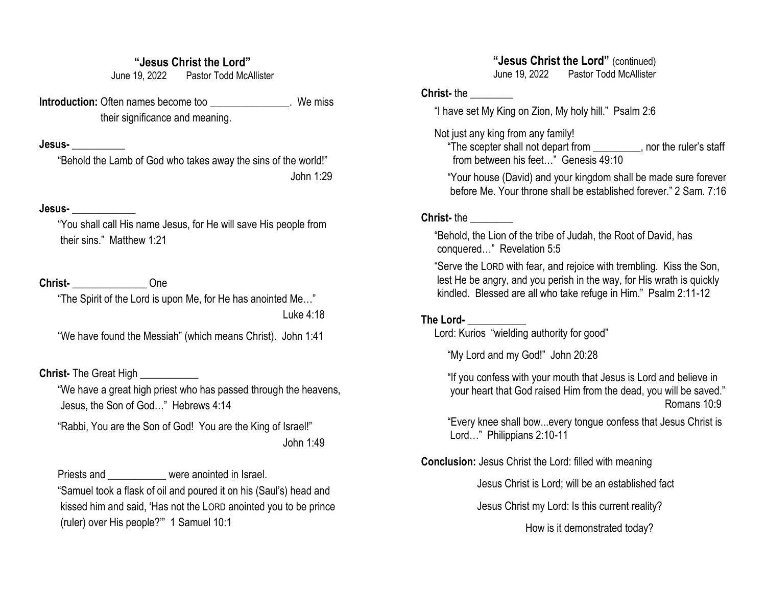### **"Jesus Christ the Lord"**

June 19, 2022 Pastor Todd McAllister

**Introduction:** Often names become too example 20 we miss their significance and meaning.

#### **Jesus-** \_\_\_\_\_\_\_\_\_\_

 "Behold the Lamb of God who takes away the sins of the world!" John 1:29

### **Jesus-** \_\_\_\_\_\_\_\_\_\_\_\_

 "You shall call His name Jesus, for He will save His people from their sins." Matthew 1:21

### **Christ-** \_\_\_\_\_\_\_\_\_\_\_\_\_\_ One

"The Spirit of the Lord is upon Me, for He has anointed Me…"

Luke 4:18

"We have found the Messiah" (which means Christ). John 1:41

### **Christ-** The Great High **\_\_\_\_\_\_\_\_\_\_**

 "We have a great high priest who has passed through the heavens, Jesus, the Son of God…" Hebrews 4:14

 "Rabbi, You are the Son of God! You are the King of Israel!" John 1:49

Priests and **Example 20** were anointed in Israel. "Samuel took a flask of oil and poured it on his (Saul's) head and kissed him and said, 'Has not the LORD anointed you to be prince (ruler) over His people?'" 1 Samuel 10:1

### **"Jesus Christ the Lord"** (continued) June 19, 2022 Pastor Todd McAllister

# **Christ-** the \_\_\_\_\_\_\_\_

"I have set My King on Zion, My holy hill." Psalm 2:6

### Not just any king from any family!

 "The scepter shall not depart from \_\_\_\_\_\_\_\_\_, nor the ruler's staff from between his feet…" Genesis 49:10

 "Your house (David) and your kingdom shall be made sure forever before Me. Your throne shall be established forever." 2 Sam. 7:16

### **Christ-** the \_\_\_\_\_\_\_\_

 "Behold, the Lion of the tribe of Judah, the Root of David, has conquered…" Revelation 5:5

 "Serve the LORD with fear, and rejoice with trembling. Kiss the Son, lest He be angry, and you perish in the way, for His wrath is quickly kindled. Blessed are all who take refuge in Him." Psalm 2:11-12

### **The Lord-** \_\_\_\_\_\_\_\_\_\_\_

Lord: Kurios "wielding authority for good"

"My Lord and my God!" John 20:28

 "If you confess with your mouth that Jesus is Lord and believe in your heart that God raised Him from the dead, you will be saved." Romans 10:9

 "Every knee shall bow...every tongue confess that Jesus Christ is Lord…" Philippians 2:10-11

**Conclusion:** Jesus Christ the Lord: filled with meaning

Jesus Christ is Lord; will be an established fact

Jesus Christ my Lord: Is this current reality?

How is it demonstrated today?